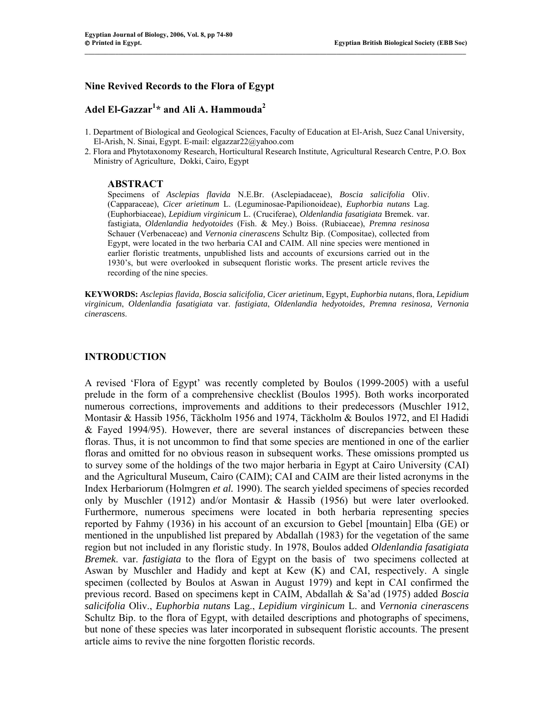### **Nine Revived Records to the Flora of Egypt**

# **Adel El-Gazzar1 \* and Ali A. Hammouda<sup>2</sup>**

1. Department of Biological and Geological Sciences, Faculty of Education at El-Arish, Suez Canal University, El-Arish, N. Sinai, Egypt. E-mail: elgazzar22@yahoo.com

 $\mathcal{L} = \{ \mathcal{L} = \{ \mathcal{L} = \{ \mathcal{L} = \{ \mathcal{L} = \{ \mathcal{L} = \{ \mathcal{L} = \{ \mathcal{L} = \{ \mathcal{L} = \{ \mathcal{L} = \{ \mathcal{L} = \{ \mathcal{L} = \{ \mathcal{L} = \{ \mathcal{L} = \{ \mathcal{L} = \{ \mathcal{L} = \{ \mathcal{L} = \{ \mathcal{L} = \{ \mathcal{L} = \{ \mathcal{L} = \{ \mathcal{L} = \{ \mathcal{L} = \{ \mathcal{L} = \{ \mathcal{L} = \{ \mathcal{$ 

2. Flora and Phytotaxonomy Research, Horticultural Research Institute, Agricultural Research Centre, P.O. Box Ministry of Agriculture, Dokki, Cairo, Egypt

#### **ABSTRACT**

Specimens of *Asclepias flavida* N.E.Br. (Asclepiadaceae), *Boscia salicifolia* Oliv. (Capparaceae), *Cicer arietinum* L. (Leguminosae-Papilionoideae), *Euphorbia nutans* Lag. (Euphorbiaceae), *Lepidium virginicum* L. (Cruciferae), *Oldenlandia fasatigiata* Bremek. var. fastigiata, *Oldenlandia hedyotoides* (Fish. & Mey.) Boiss. (Rubiaceae), *Premna resinosa* Schauer (Verbenaceae) and *Vernonia cinerascens* Schultz Bip. (Compositae), collected from Egypt, were located in the two herbaria CAI and CAIM. All nine species were mentioned in earlier floristic treatments, unpublished lists and accounts of excursions carried out in the 1930's, but were overlooked in subsequent floristic works. The present article revives the recording of the nine species.

**KEYWORDS:** *Asclepias flavida, Boscia salicifolia, Cicer arietinum*, Egypt, *Euphorbia nutans*, flora, *Lepidium virginicum*, *Oldenlandia fasatigiata* var. *fastigiata*, *Oldenlandia hedyotoides, Premna resinosa, Vernonia cinerascens*.

#### **INTRODUCTION**

A revised 'Flora of Egypt' was recently completed by Boulos (1999-2005) with a useful prelude in the form of a comprehensive checklist (Boulos 1995). Both works incorporated numerous corrections, improvements and additions to their predecessors (Muschler 1912, Montasir & Hassib 1956, Täckholm 1956 and 1974, Täckholm & Boulos 1972, and El Hadidi & Fayed 1994/95). However, there are several instances of discrepancies between these floras. Thus, it is not uncommon to find that some species are mentioned in one of the earlier floras and omitted for no obvious reason in subsequent works. These omissions prompted us to survey some of the holdings of the two major herbaria in Egypt at Cairo University (CAI) and the Agricultural Museum, Cairo (CAIM); CAI and CAIM are their listed acronyms in the Index Herbariorum (Holmgren *et al.* 1990). The search yielded specimens of species recorded only by Muschler (1912) and/or Montasir & Hassib (1956) but were later overlooked. Furthermore, numerous specimens were located in both herbaria representing species reported by Fahmy (1936) in his account of an excursion to Gebel [mountain] Elba (GE) or mentioned in the unpublished list prepared by Abdallah (1983) for the vegetation of the same region but not included in any floristic study. In 1978, Boulos added *Oldenlandia fasatigiata Bremek*. var. *fastigiata* to the flora of Egypt on the basis of two specimens collected at Aswan by Muschler and Hadidy and kept at Kew (K) and CAI, respectively. A single specimen (collected by Boulos at Aswan in August 1979) and kept in CAI confirmed the previous record. Based on specimens kept in CAIM, Abdallah & Sa'ad (1975) added *Boscia salicifolia* Oliv., *Euphorbia nutans* Lag., *Lepidium virginicum* L. and *Vernonia cinerascens* Schultz Bip. to the flora of Egypt, with detailed descriptions and photographs of specimens, but none of these species was later incorporated in subsequent floristic accounts. The present article aims to revive the nine forgotten floristic records.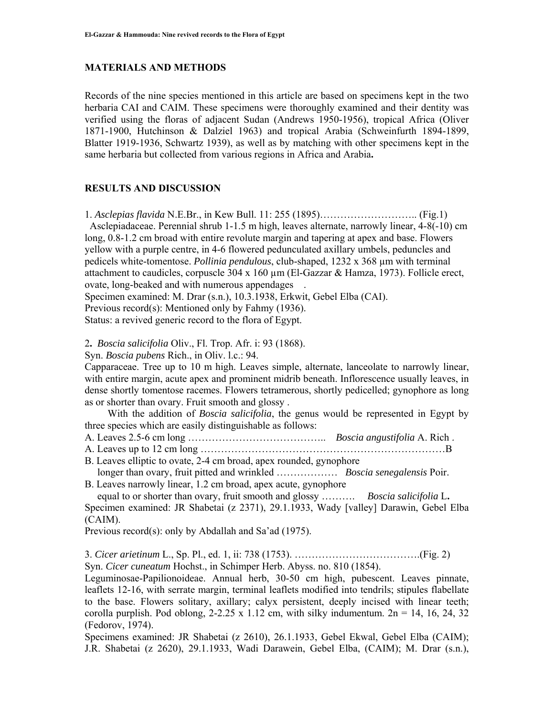## **MATERIALS AND METHODS**

Records of the nine species mentioned in this article are based on specimens kept in the two herbaria CAI and CAIM. These specimens were thoroughly examined and their dentity was verified using the floras of adjacent Sudan (Andrews 1950-1956), tropical Africa (Oliver 1871-1900, Hutchinson & Dalziel 1963) and tropical Arabia (Schweinfurth 1894-1899, Blatter 1919-1936, Schwartz 1939), as well as by matching with other specimens kept in the same herbaria but collected from various regions in Africa and Arabia**.**

# **RESULTS AND DISCUSSION**

1. *Asclepias flavida* N.E.Br., in Kew Bull. 11: 255 (1895)……………………….. (Fig.1) Asclepiadaceae. Perennial shrub 1-1.5 m high, leaves alternate, narrowly linear, 4-8(-10) cm long, 0.8-1.2 cm broad with entire revolute margin and tapering at apex and base. Flowers yellow with a purple centre, in 4-6 flowered pedunculated axillary umbels, peduncles and pedicels white-tomentose. *Pollinia pendulous*, club-shaped, 1232 x 368 µm with terminal attachment to caudicles, corpuscle  $304 \times 160 \mu m$  (El-Gazzar & Hamza, 1973). Follicle erect, ovate, long-beaked and with numerous appendages .

Specimen examined: M. Drar (s.n.), 10.3.1938, Erkwit, Gebel Elba (CAI).

Previous record(s): Mentioned only by Fahmy (1936).

Status: a revived generic record to the flora of Egypt.

2**.** *Boscia salicifolia* Oliv., Fl. Trop. Afr. i: 93 (1868).

Syn. *Boscia pubens* Rich., in Oliv. l.c.: 94.

Capparaceae. Tree up to 10 m high. Leaves simple, alternate, lanceolate to narrowly linear, with entire margin, acute apex and prominent midrib beneath. Inflorescence usually leaves, in dense shortly tomentose racemes. Flowers tetramerous, shortly pedicelled; gynophore as long as or shorter than ovary. Fruit smooth and glossy .

 With the addition of *Boscia salicifolia*, the genus would be represented in Egypt by three species which are easily distinguishable as follows:

A. Leaves 2.5-6 cm long ………………………………….. *Boscia angustifolia* A. Rich .

A. Leaves up to 12 cm long ………………………………………………………………B

B. Leaves elliptic to ovate, 2-4 cm broad, apex rounded, gynophore longer than ovary, fruit pitted and wrinkled ……………… *Boscia senegalensis* Poir.

B. Leaves narrowly linear, 1.2 cm broad, apex acute, gynophore equal to or shorter than ovary, fruit smooth and glossy ………. *Boscia salicifolia* L**.** 

Specimen examined: JR Shabetai (z 2371), 29.1.1933, Wady [valley] Darawin, Gebel Elba (CAIM).

Previous record(s): only by Abdallah and Sa'ad (1975).

3. *Cicer arietinum* L., Sp. Pl., ed. 1, ii: 738 (1753). ……………………………….(Fig. 2) Syn. *Cicer cuneatum* Hochst., in Schimper Herb. Abyss. no. 810 (1854).

Leguminosae-Papilionoideae. Annual herb, 30-50 cm high, pubescent. Leaves pinnate, leaflets 12-16, with serrate margin, terminal leaflets modified into tendrils; stipules flabellate to the base. Flowers solitary, axillary; calyx persistent, deeply incised with linear teeth; corolla purplish. Pod oblong,  $2-2.25 \times 1.12$  cm, with silky indumentum.  $2n = 14$ , 16, 24, 32 (Fedorov, 1974).

Specimens examined: JR Shabetai (z 2610), 26.1.1933, Gebel Ekwal, Gebel Elba (CAIM); J.R. Shabetai (z 2620), 29.1.1933, Wadi Darawein, Gebel Elba, (CAIM); M. Drar (s.n.),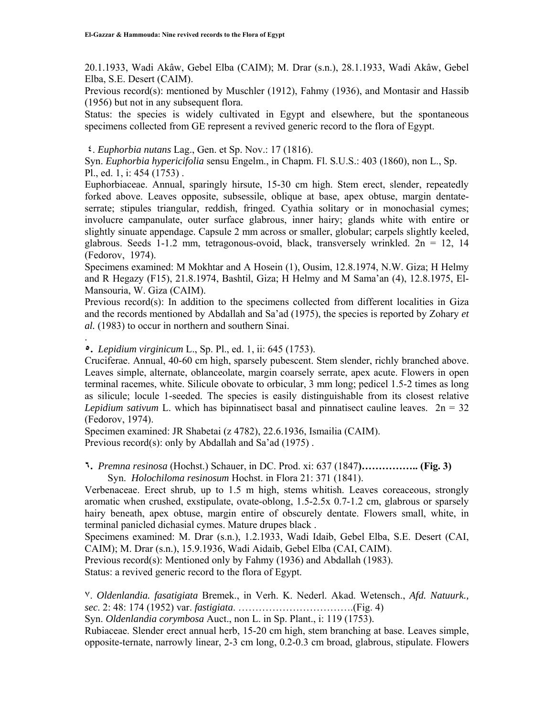20.1.1933, Wadi Akâw, Gebel Elba (CAIM); M. Drar (s.n.), 28.1.1933, Wadi Akâw, Gebel Elba, S.E. Desert (CAIM).

Previous record(s): mentioned by Muschler (1912), Fahmy (1936), and Montasir and Hassib (1956) but not in any subsequent flora.

Status: the species is widely cultivated in Egypt and elsewhere, but the spontaneous specimens collected from GE represent a revived generic record to the flora of Egypt.

# ٤. *Euphorbia nutans* Lag., Gen. et Sp. Nov.: 17 (1816).

Syn. *Euphorbia hypericifolia* sensu Engelm., in Chapm. Fl. S.U.S.: 403 (1860), non L., Sp. Pl., ed. 1, i: 454 (1753) .

Euphorbiaceae. Annual, sparingly hirsute, 15-30 cm high. Stem erect, slender, repeatedly forked above. Leaves opposite, subsessile, oblique at base, apex obtuse, margin dentateserrate; stipules triangular, reddish, fringed. Cyathia solitary or in monochasial cymes; involucre campanulate, outer surface glabrous, inner hairy; glands white with entire or slightly sinuate appendage. Capsule 2 mm across or smaller, globular; carpels slightly keeled, glabrous. Seeds 1-1.2 mm, tetragonous-ovoid, black, transversely wrinkled.  $2n = 12$ , 14 (Fedorov, 1974).

Specimens examined: M Mokhtar and A Hosein (1), Ousim, 12.8.1974, N.W. Giza; H Helmy and R Hegazy (F15), 21.8.1974, Bashtil, Giza; H Helmy and M Sama'an (4), 12.8.1975, El-Mansouria, W. Giza (CAIM).

Previous record(s): In addition to the specimens collected from different localities in Giza and the records mentioned by Abdallah and Sa'ad (1975), the species is reported by Zohary *et al.* (1983) to occur in northern and southern Sinai.

**٥.** *Lepidium virginicum* L., Sp. Pl., ed. 1, ii: 645 (1753).

.

Cruciferae. Annual, 40-60 cm high, sparsely pubescent. Stem slender, richly branched above. Leaves simple, alternate, oblanceolate, margin coarsely serrate, apex acute. Flowers in open terminal racemes, white. Silicule obovate to orbicular, 3 mm long; pedicel 1.5-2 times as long as silicule; locule 1-seeded. The species is easily distinguishable from its closest relative *Lepidium sativum* L. which has bipinnatisect basal and pinnatisect cauline leaves.  $2n = 32$ (Fedorov, 1974).

Specimen examined: JR Shabetai (z 4782), 22.6.1936, Ismailia (CAIM). Previous record(s): only by Abdallah and Sa'ad (1975).

**٦.** *Premna resinosa* (Hochst.) Schauer, in DC. Prod. xi: 637 (1847**)…………….. (Fig. 3)**  Syn. *Holochiloma resinosum* Hochst. in Flora 21: 371 (1841).

Verbenaceae. Erect shrub, up to 1.5 m high, stems whitish. Leaves coreaceous, strongly aromatic when crushed, exstipulate, ovate-oblong, 1.5-2.5x 0.7-1.2 cm, glabrous or sparsely hairy beneath, apex obtuse, margin entire of obscurely dentate. Flowers small, white, in terminal panicled dichasial cymes. Mature drupes black .

Specimens examined: M. Drar (s.n.), 1.2.1933, Wadi Idaib, Gebel Elba, S.E. Desert (CAI, CAIM); M. Drar (s.n.), 15.9.1936, Wadi Aidaib, Gebel Elba (CAI, CAIM).

Previous record(s): Mentioned only by Fahmy (1936) and Abdallah (1983).

Status: a revived generic record to the flora of Egypt.

٧. *Oldenlandia. fasatigiata* Bremek., in Verh. K. Nederl. Akad. Wetensch., *Afd. Natuurk., sec*. 2: 48: 174 (1952) var. *fastigiata*. …………………………….(Fig. 4)

Syn. *Oldenlandia corymbosa* Auct., non L. in Sp. Plant., i: 119 (1753).

Rubiaceae. Slender erect annual herb, 15-20 cm high, stem branching at base. Leaves simple, opposite-ternate, narrowly linear, 2-3 cm long, 0.2-0.3 cm broad, glabrous, stipulate. Flowers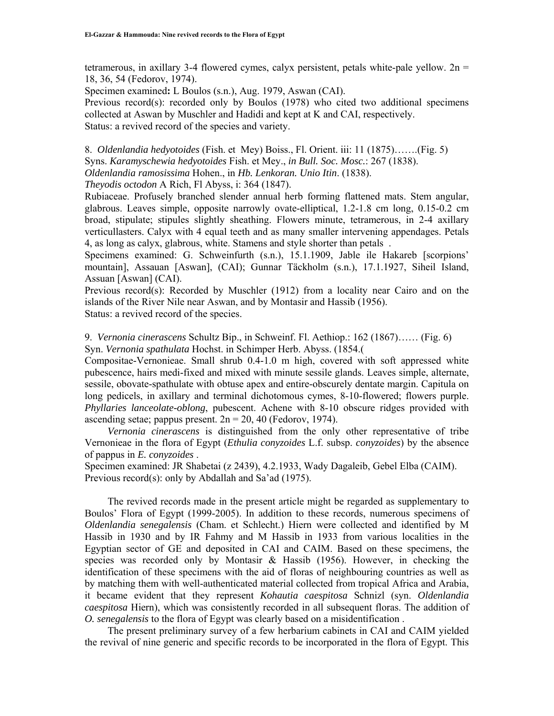tetramerous, in axillary 3-4 flowered cymes, calyx persistent, petals white-pale yellow.  $2n =$ 18, 36, 54 (Fedorov, 1974).

Specimen examined**:** L Boulos (s.n.), Aug. 1979, Aswan (CAI).

Previous record(s): recorded only by Boulos (1978) who cited two additional specimens collected at Aswan by Muschler and Hadidi and kept at K and CAI, respectively. Status: a revived record of the species and variety.

8. *Oldenlandia hedyotoides* (Fish. et Mey) Boiss., Fl. Orient. iii: 11 (1875)…….(Fig. 5) Syns. *Karamyschewia hedyotoides* Fish. et Mey., *in Bull. Soc. Mosc.*: 267 (1838). *Oldenlandia ramosissima* Hohen., in *Hb. Lenkoran. Unio Itin*. (1838).

*Theyodis octodon* A Rich, Fl Abyss, i: 364 (1847).

Rubiaceae. Profusely branched slender annual herb forming flattened mats. Stem angular, glabrous. Leaves simple, opposite narrowly ovate-elliptical, 1.2-1.8 cm long, 0.15-0.2 cm broad, stipulate; stipules slightly sheathing. Flowers minute, tetramerous, in 2-4 axillary verticullasters. Calyx with 4 equal teeth and as many smaller intervening appendages. Petals 4, as long as calyx, glabrous, white. Stamens and style shorter than petals .

Specimens examined: G. Schweinfurth (s.n.), 15.1.1909, Jable ile Hakareb [scorpions' mountain], Assauan [Aswan], (CAI); Gunnar Täckholm (s.n.), 17.1.1927, Siheil Island, Assuan [Aswan] (CAI).

Previous record(s): Recorded by Muschler  $(1912)$  from a locality near Cairo and on the islands of the River Nile near Aswan, and by Montasir and Hassib (1956). Status: a revived record of the species.

9. *Vernonia cinerascens* Schultz Bip., in Schweinf. Fl. Aethiop.: 162 (1867)…… (Fig. 6) Syn. *Vernonia spathulata* Hochst. in Schimper Herb. Abyss. (1854.(

Compositae-Vernonieae. Small shrub 0.4-1.0 m high, covered with soft appressed white pubescence, hairs medi-fixed and mixed with minute sessile glands. Leaves simple, alternate, sessile, obovate-spathulate with obtuse apex and entire-obscurely dentate margin. Capitula on long pedicels, in axillary and terminal dichotomous cymes, 8-10-flowered; flowers purple. *Phyllaries lanceolate-oblong*, pubescent. Achene with 8-10 obscure ridges provided with ascending setae; pappus present.  $2n = 20$ , 40 (Fedorov, 1974).

 *Vernonia cinerascens* is distinguished from the only other representative of tribe Vernonieae in the flora of Egypt (*Ethulia conyzoides* L.f. subsp. *conyzoides*) by the absence of pappus in *E. conyzoides* .

Specimen examined: JR Shabetai (z 2439), 4.2.1933, Wady Dagaleib, Gebel Elba (CAIM). Previous record(s): only by Abdallah and Sa'ad (1975).

 The revived records made in the present article might be regarded as supplementary to Boulos' Flora of Egypt (1999-2005). In addition to these records, numerous specimens of *Oldenlandia senegalensis* (Cham. et Schlecht.) Hiern were collected and identified by M Hassib in 1930 and by IR Fahmy and M Hassib in 1933 from various localities in the Egyptian sector of GE and deposited in CAI and CAIM. Based on these specimens, the species was recorded only by Montasir  $\&$  Hassib (1956). However, in checking the identification of these specimens with the aid of floras of neighbouring countries as well as by matching them with well-authenticated material collected from tropical Africa and Arabia, it became evident that they represent *Kohautia caespitosa* Schnizl (syn. *Oldenlandia caespitosa* Hiern), which was consistently recorded in all subsequent floras. The addition of *O. senegalensis* to the flora of Egypt was clearly based on a misidentification .

 The present preliminary survey of a few herbarium cabinets in CAI and CAIM yielded the revival of nine generic and specific records to be incorporated in the flora of Egypt. This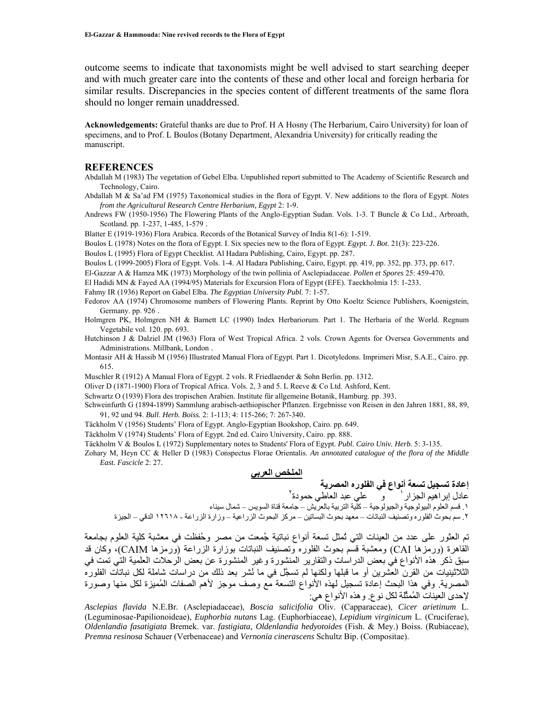outcome seems to indicate that taxonomists might be well advised to start searching deeper and with much greater care into the contents of these and other local and foreign herbaria for similar results. Discrepancies in the species content of different treatments of the same flora should no longer remain unaddressed.

**Acknowledgements:** Grateful thanks are due to Prof. H A Hosny (The Herbarium, Cairo University) for loan of specimens, and to Prof. L Boulos (Botany Department, Alexandria University) for critically reading the manuscript.

#### **REFERENCES**

Abdallah M (1983) The vegetation of Gebel Elba. Unpublished report submitted to The Academy of Scientific Research and Technology, Cairo.

Abdallah M & Sa'ad FM (1975) Taxonomical studies in the flora of Egypt. V. New additions to the flora of Egypt. *Notes from the Agricultural Research Centre Herbarium, Egypt* 2: 1-9.

Andrews FW (1950-1956) The Flowering Plants of the Anglo-Egyptian Sudan. Vols. 1-3. T Buncle & Co Ltd., Arbroath, Scotland. pp. 1-237, 1-485, 1-579 .

Blatter E (1919-1936) Flora Arabica. Records of the Botanical Survey of India 8(1-6): 1-519.

Boulos L (1978) Notes on the flora of Egypt. I. Six species new to the flora of Egypt. *Egypt. J. Bot*. 21(3): 223-226.

Boulos L (1995) Flora of Egypt Checklist. Al Hadara Publishing, Cairo, Egypt. pp. 287.

Boulos L (1999-2005) Flora of Egypt. Vols. 1-4. Al Hadara Publishing, Cairo, Egypt. pp. 419, pp. 352, pp. 373, pp. 617.

El-Gazzar A & Hamza MK (1973) Morphology of the twin pollinia of Asclepiadaceae. *Pollen et Spores* 25: 459-470.

El Hadidi MN & Fayed AA (1994/95) Materials for Excursion Flora of Egypt (EFE). Taeckholmia 15: 1-233.

Fahmy IR (1936) Report on Gabel Elba. *The Egyptian University Publ.* 7: 1-57.

Fedorov AA (1974) Chromosome numbers of Flowering Plants. Reprint by Otto Koeltz Science Publishers, Koenigstein, Germany. pp. 926 .

Holmgren PK, Holmgren NH & Barnett LC (1990) Index Herbariorum. Part 1. The Herbaria of the World. Regnum Vegetabile vol. 120. pp. 693.

Hutchinson J & Dalziel JM (1963) Flora of West Tropical Africa. 2 vols. Crown Agents for Oversea Governments and Administrations. Millbank, London .

Montasir AH & Hassib M (1956) Illustrated Manual Flora of Egypt. Part 1. Dicotyledons. Imprimeri Misr, S.A.E., Cairo. pp. 615.

Muschler R (1912) A Manual Flora of Egypt. 2 vols. R Friedlaender & Sohn Berlin. pp. 1312.

Oliver D (1871-1900) Flora of Tropical Africa. Vols. 2, 3 and 5. L Reeve & Co Ltd. Ashford, Kent.

Schwartz O (1939) Flora des tropischen Arabien. Institute für allgemeine Botanik, Hamburg. pp. 393.

Schweinfurth G (1894-1899) Sammlung arabisch-aethiopischer Pflanzen. Ergebnisse von Reisen in den Jahren 1881, 88, 89, 91, 92 und 94. *Bull*. *Herb. Boiss.* 2: 1-113; 4: 115-266; 7: 267-340.

Täckholm V (1956) Students' Flora of Egypt. Anglo-Egyptian Bookshop, Cairo. pp. 649.

Täckholm V (1974) Students' Flora of Egypt. 2nd ed. Cairo University, Cairo. pp. 888.

Täckholm V & Boulos L (1972) Supplementary notes to Students' Flora of Egypt. *Publ. Cairo Univ. Herb.* 5: 3-135.

Zohary M, Heyn CC & Heller D (1983) Conspectus Florae Orientalis. *An annotated catalogue of the flora of the Middle East. Fascicle* 2: 27.

#### **الملخص العربي**

**إعادة تسجيل تسعة أنواع في الفلوره المصرية**  عادل إبراهيم الجزار ' و علي عبد العاطي حمودة ' .١ قسم العلوم البيولوجية والجيولوجية – آلية التربية بالعريش – جامعة قناة السويس – شمال سيناء .٢ سم بحوث الفلوره وتصنيف النباتات – معهد بحوث البساتين – مرآز البحوث الزراعية – وزارة الزراعة - ١٢٦١٨ الدقي – الجيزة

تم العثور على عدد من العينات التي تُمثل تسعة أنواع نباتية جُمعت من مصر وحُفظت في معشبة آلية العلوم بجامعة القاهرة (ورمزها CAI) ومعشبة قسم بحوث الفلوره وتصنيف النباتات بوزارة الزراعة (ورمزها CAIM)، وكان قد سبق ذكر هذه الأنواع في بعض الدراسات والتقارير المنشورة وغير المنشورة عن بعض الرحلات العلمية التي تمت في الثلاثينيات من القرن العشرين أو ما قبلها ولكنها لم تسجَّل في ما نُشر بعد ذلك من دراسات شاملة لكل نباتات الفلوره المصرية. وفي هذا البحث إعادة تسجيل لهذه الأنواع التسعة مع وصف موجز لأهم الصفات المُميزة لكل منها وصورة لإحدى العينات المُمثِّلة لكل نوع. وهذه الأنواع هي:

*Asclepias flavida* N.E.Br*.* (Asclepiadaceae), *Boscia salicifolia* Oliv. (Capparaceae), *Cicer arietinum* L. (Leguminosae-Papilionoideae), *Euphorbia nutans* Lag. (Euphorbiaceae), *Lepidium virginicum* L. (Cruciferae), *Oldenlandia fasatigiata* Bremek. var. *fastigiata, Oldenlandia hedyotoides* (Fish. & Mey.) Boiss. (Rubiaceae), *Premna resinosa* Schauer (Verbenaceae) and *Vernonia cinerascens* Schultz Bip. (Compositae).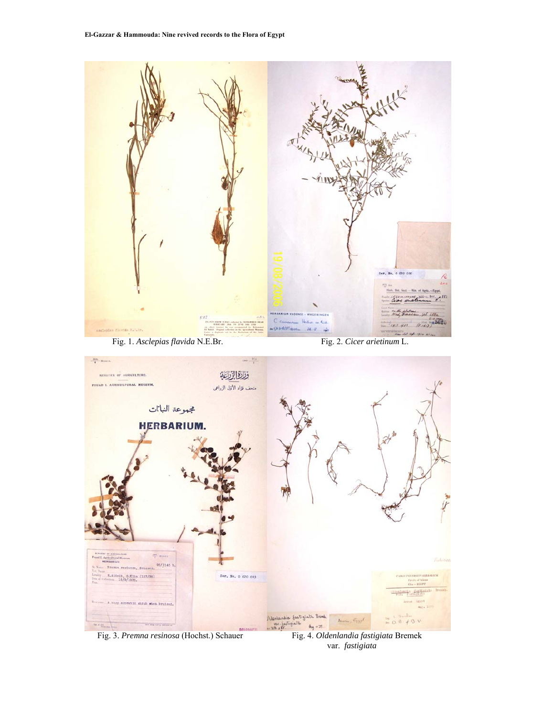

var. *fastigiata*